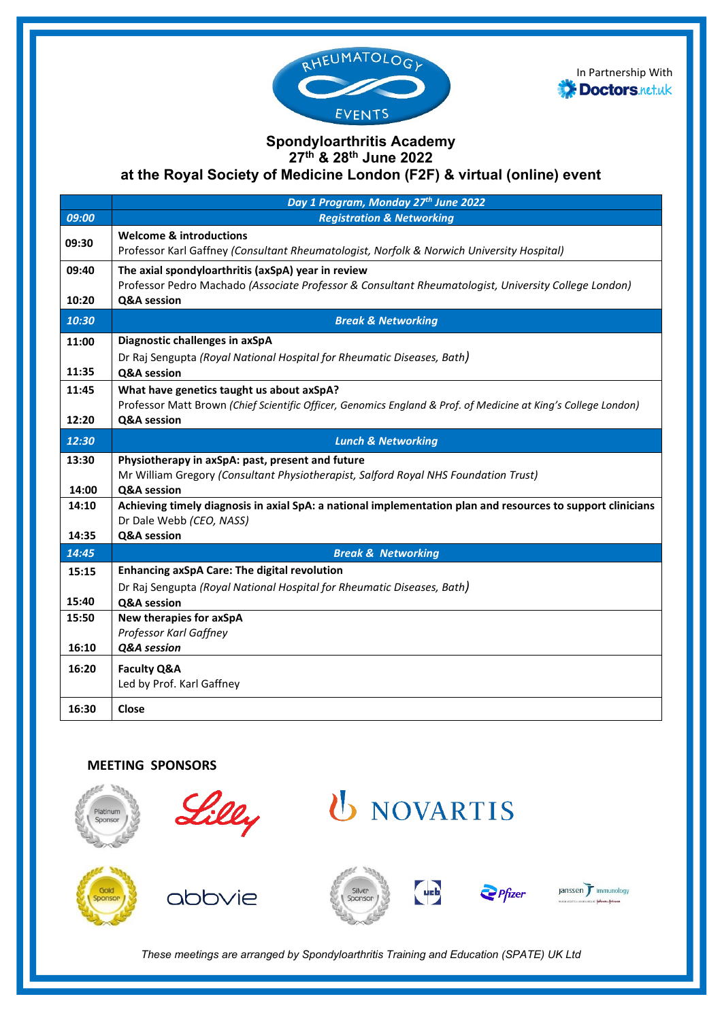



## **Spondyloarthritis Academy 27th & 28th June 2022**

**at the Royal Society of Medicine London (F2F) & virtual (online) event**

|       | Day 1 Program, Monday 27th June 2022                                                                                                                       |
|-------|------------------------------------------------------------------------------------------------------------------------------------------------------------|
| 09:00 | <b>Registration &amp; Networking</b>                                                                                                                       |
| 09:30 | <b>Welcome &amp; introductions</b><br>Professor Karl Gaffney (Consultant Rheumatologist, Norfolk & Norwich University Hospital)                            |
| 09:40 | The axial spondyloarthritis (axSpA) year in review<br>Professor Pedro Machado (Associate Professor & Consultant Rheumatologist, University College London) |
| 10:20 | Q&A session                                                                                                                                                |
| 10:30 | <b>Break &amp; Networking</b>                                                                                                                              |
| 11:00 | Diagnostic challenges in axSpA                                                                                                                             |
| 11:35 | Dr Raj Sengupta (Royal National Hospital for Rheumatic Diseases, Bath)<br><b>Q&amp;A</b> session                                                           |
| 11:45 | What have genetics taught us about axSpA?                                                                                                                  |
| 12:20 | Professor Matt Brown (Chief Scientific Officer, Genomics England & Prof. of Medicine at King's College London)<br>Q&A session                              |
|       |                                                                                                                                                            |
| 12:30 | <b>Lunch &amp; Networking</b>                                                                                                                              |
| 13:30 | Physiotherapy in axSpA: past, present and future                                                                                                           |
| 14:00 | Mr William Gregory (Consultant Physiotherapist, Salford Royal NHS Foundation Trust)<br>Q&A session                                                         |
| 14:10 | Achieving timely diagnosis in axial SpA: a national implementation plan and resources to support clinicians                                                |
|       | Dr Dale Webb (CEO, NASS)                                                                                                                                   |
| 14:35 | Q&A session                                                                                                                                                |
| 14:45 | <b>Break &amp; Networking</b>                                                                                                                              |
| 15:15 | <b>Enhancing axSpA Care: The digital revolution</b>                                                                                                        |
|       | Dr Raj Sengupta (Royal National Hospital for Rheumatic Diseases, Bath)                                                                                     |
| 15:40 | Q&A session                                                                                                                                                |
| 15:50 | New therapies for axSpA                                                                                                                                    |
| 16:10 | Professor Karl Gaffney<br>Q&A session                                                                                                                      |
|       |                                                                                                                                                            |
| 16:20 | <b>Faculty Q&amp;A</b><br>Led by Prof. Karl Gaffney                                                                                                        |
|       |                                                                                                                                                            |
| 16:30 | Close                                                                                                                                                      |

## **MEETING SPONSORS**



*These meetings are arranged by Spondyloarthritis Training and Education (SPATE) UK Ltd*